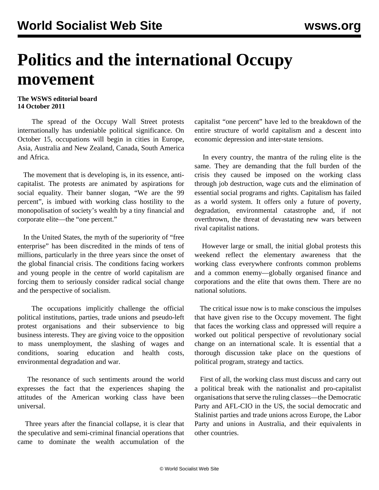## **Politics and the international Occupy movement**

## **The WSWS editorial board 14 October 2011**

 The spread of the Occupy Wall Street protests internationally has undeniable political significance. On October 15, occupations will begin in cities in Europe, Asia, Australia and New Zealand, Canada, South America and Africa.

 The movement that is developing is, in its essence, anticapitalist. The protests are animated by aspirations for social equality. Their banner slogan, "We are the 99 percent", is imbued with working class hostility to the monopolisation of society's wealth by a tiny financial and corporate elite—the "one percent."

 In the United States, the myth of the superiority of "free enterprise" has been discredited in the minds of tens of millions, particularly in the three years since the onset of the global financial crisis. The conditions facing workers and young people in the centre of world capitalism are forcing them to seriously consider radical social change and the perspective of socialism.

 The occupations implicitly challenge the official political institutions, parties, trade unions and pseudo-left protest organisations and their subservience to big business interests. They are giving voice to the opposition to mass unemployment, the slashing of wages and conditions, soaring education and health costs, environmental degradation and war.

 The resonance of such sentiments around the world expresses the fact that the experiences shaping the attitudes of the American working class have been universal.

 Three years after the financial collapse, it is clear that the speculative and semi-criminal financial operations that came to dominate the wealth accumulation of the capitalist "one percent" have led to the breakdown of the entire structure of world capitalism and a descent into economic depression and inter-state tensions.

 In every country, the mantra of the ruling elite is the same. They are demanding that the full burden of the crisis they caused be imposed on the working class through job destruction, wage cuts and the elimination of essential social programs and rights. Capitalism has failed as a world system. It offers only a future of poverty, degradation, environmental catastrophe and, if not overthrown, the threat of devastating new wars between rival capitalist nations.

 However large or small, the initial global protests this weekend reflect the elementary awareness that the working class everywhere confronts common problems and a common enemy—globally organised finance and corporations and the elite that owns them. There are no national solutions.

 The critical issue now is to make conscious the impulses that have given rise to the Occupy movement. The fight that faces the working class and oppressed will require a worked out political perspective of revolutionary social change on an international scale. It is essential that a thorough discussion take place on the questions of political program, strategy and tactics.

 First of all, the working class must discuss and carry out a political break with the nationalist and pro-capitalist organisations that serve the ruling classes—the Democratic Party and AFL-CIO in the US, the social democratic and Stalinist parties and trade unions across Europe, the Labor Party and unions in Australia, and their equivalents in other countries.